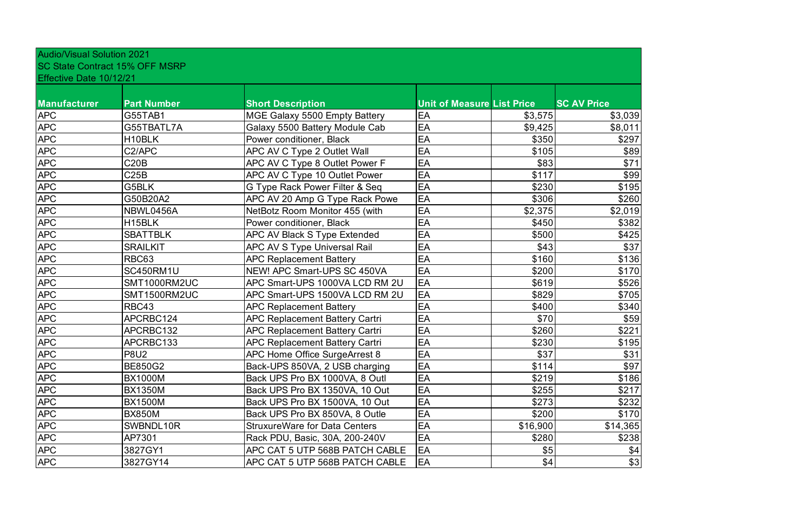| <b>Audio/Visual Solution 2021</b> |                                       |                                       |                                   |          |                    |
|-----------------------------------|---------------------------------------|---------------------------------------|-----------------------------------|----------|--------------------|
|                                   | <b>SC State Contract 15% OFF MSRP</b> |                                       |                                   |          |                    |
| Effective Date 10/12/21           |                                       |                                       |                                   |          |                    |
| Manufacturer                      | <b>Part Number</b>                    | <b>Short Description</b>              | <b>Unit of Measure List Price</b> |          | <b>SC AV Price</b> |
| <b>APC</b>                        | G55TAB1                               | MGE Galaxy 5500 Empty Battery         | EA                                | \$3,575  | \$3,039            |
| <b>APC</b>                        | G55TBATL7A                            | Galaxy 5500 Battery Module Cab        | EA                                | \$9,425  | \$8,011            |
| <b>APC</b>                        | H10BLK                                | Power conditioner, Black              | EA                                | \$350    | \$297              |
| <b>APC</b>                        | C2/APC                                | APC AV C Type 2 Outlet Wall           | EA                                | \$105    | \$89               |
| <b>APC</b>                        | C20B                                  | APC AV C Type 8 Outlet Power F        | EA                                | \$83     | \$71               |
| <b>APC</b>                        | C25B                                  | APC AV C Type 10 Outlet Power         | EA                                | \$117    | \$99               |
| <b>APC</b>                        | G5BLK                                 | G Type Rack Power Filter & Seq        | EA                                | \$230    | \$195              |
| <b>APC</b>                        | G50B20A2                              | APC AV 20 Amp G Type Rack Powe        | EA                                | \$306    | \$260              |
| <b>APC</b>                        | NBWL0456A                             | NetBotz Room Monitor 455 (with        | EA                                | \$2,375  | \$2,019            |
| <b>APC</b>                        | H <sub>15</sub> BLK                   | Power conditioner, Black              | EA                                | \$450    | \$382              |
| <b>APC</b>                        | <b>SBATTBLK</b>                       | <b>APC AV Black S Type Extended</b>   | EA                                | \$500    | \$425              |
| <b>APC</b>                        | <b>SRAILKIT</b>                       | <b>APC AV S Type Universal Rail</b>   | EA                                | \$43     | \$37               |
| <b>APC</b>                        | <b>RBC63</b>                          | <b>APC Replacement Battery</b>        | EA                                | \$160    | \$136              |
| <b>APC</b>                        | SC450RM1U                             | <b>NEW! APC Smart-UPS SC 450VA</b>    | EA                                | \$200    | \$170              |
| <b>APC</b>                        | SMT1000RM2UC                          | APC Smart-UPS 1000VA LCD RM 2U        | EA                                | \$619    | \$526              |
| <b>APC</b>                        | SMT1500RM2UC                          | APC Smart-UPS 1500VA LCD RM 2U        | EA                                | \$829    | \$705              |
| <b>APC</b>                        | RBC43                                 | <b>APC Replacement Battery</b>        | EA                                | \$400    | \$340              |
| <b>APC</b>                        | APCRBC124                             | <b>APC Replacement Battery Cartri</b> | EA                                | \$70     | \$59               |
| <b>APC</b>                        | APCRBC132                             | <b>APC Replacement Battery Cartri</b> | EA                                | \$260    | \$221              |
| <b>APC</b>                        | APCRBC133                             | <b>APC Replacement Battery Cartri</b> | EA                                | \$230    | \$195              |
| <b>APC</b>                        | <b>P8U2</b>                           | APC Home Office SurgeArrest 8         | EA                                | \$37     | \$31               |
| <b>APC</b>                        | <b>BE850G2</b>                        | Back-UPS 850VA, 2 USB charging        | EA                                | \$114    | \$97               |
| <b>APC</b>                        | <b>BX1000M</b>                        | Back UPS Pro BX 1000VA, 8 Outl        | EA                                | \$219    | \$186              |
| <b>APC</b>                        | <b>BX1350M</b>                        | Back UPS Pro BX 1350VA, 10 Out        | EA                                | \$255    | \$217              |
| <b>APC</b>                        | <b>BX1500M</b>                        | Back UPS Pro BX 1500VA, 10 Out        | EA                                | \$273    | \$232              |
| <b>APC</b>                        | <b>BX850M</b>                         | Back UPS Pro BX 850VA, 8 Outle        | EA                                | \$200    | \$170              |
| <b>APC</b>                        | SWBNDL10R                             | <b>StruxureWare for Data Centers</b>  | EA                                | \$16,900 | \$14,365           |
| <b>APC</b>                        | AP7301                                | Rack PDU, Basic, 30A, 200-240V        | EA                                | \$280    | \$238              |
| <b>APC</b>                        | 3827GY1                               | APC CAT 5 UTP 568B PATCH CABLE        | EA                                | \$5      | \$4                |
| <b>APC</b>                        | 3827GY14                              | APC CAT 5 UTP 568B PATCH CABLE        | EA                                | \$4      | \$3                |

| ice                  |
|----------------------|
| \$3,039              |
| \$8,011              |
| \$297                |
| \$89                 |
| \$71                 |
| \$99                 |
| \$195                |
| \$260                |
| \$2,019              |
| \$382                |
| \$425                |
| \$37                 |
| \$136                |
| \$170                |
| \$526                |
| \$705                |
| \$340                |
| \$59                 |
| \$221                |
| \$195                |
| \$31                 |
| \$97                 |
| \$186                |
| \$217                |
| \$232                |
| \$170                |
| $\overline{$14,365}$ |
| \$238                |
| \$4                  |
| \$3                  |